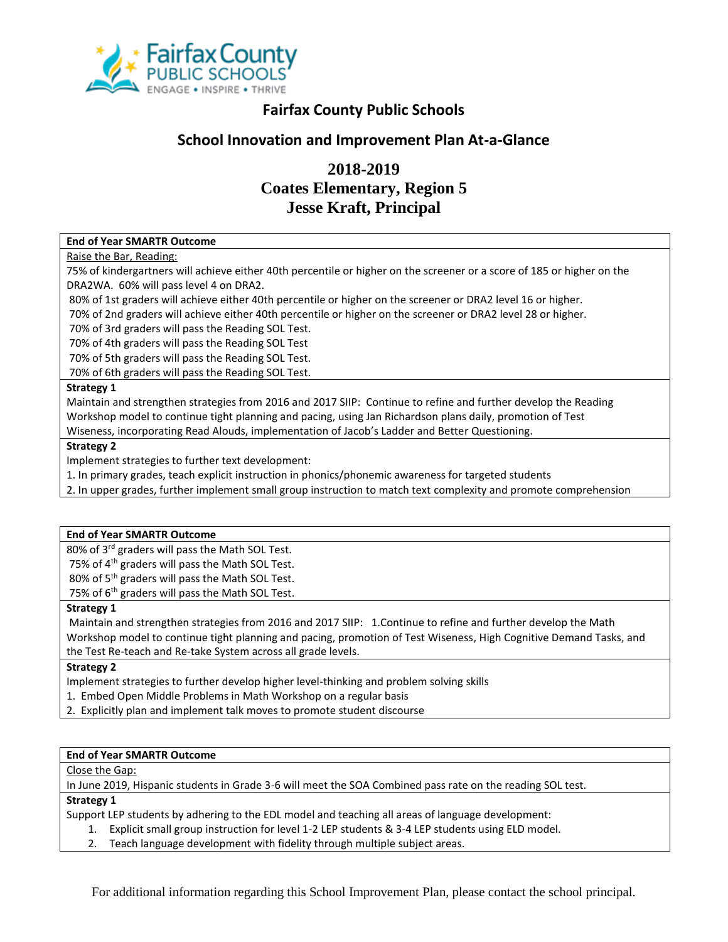

## **Fairfax County Public Schools**

## **School Innovation and Improvement Plan At-a-Glance**

## **2018-2019 Coates Elementary, Region 5 Jesse Kraft, Principal**

#### **End of Year SMARTR Outcome**

#### Raise the Bar, Reading:

75% of kindergartners will achieve either 40th percentile or higher on the screener or a score of 185 or higher on the DRA2WA. 60% will pass level 4 on DRA2.

80% of 1st graders will achieve either 40th percentile or higher on the screener or DRA2 level 16 or higher.

70% of 2nd graders will achieve either 40th percentile or higher on the screener or DRA2 level 28 or higher.

70% of 3rd graders will pass the Reading SOL Test.

70% of 4th graders will pass the Reading SOL Test

70% of 5th graders will pass the Reading SOL Test.

70% of 6th graders will pass the Reading SOL Test.

#### **Strategy 1**

Maintain and strengthen strategies from 2016 and 2017 SIIP: Continue to refine and further develop the Reading Workshop model to continue tight planning and pacing, using Jan Richardson plans daily, promotion of Test Wiseness, incorporating Read Alouds, implementation of Jacob's Ladder and Better Questioning.

#### **Strategy 2**

Implement strategies to further text development:

1. In primary grades, teach explicit instruction in phonics/phonemic awareness for targeted students

2. In upper grades, further implement small group instruction to match text complexity and promote comprehension

#### **End of Year SMARTR Outcome**

80% of 3<sup>rd</sup> graders will pass the Math SOL Test.

75% of 4th graders will pass the Math SOL Test.

80% of 5<sup>th</sup> graders will pass the Math SOL Test.

75% of 6<sup>th</sup> graders will pass the Math SOL Test.

#### **Strategy 1**

Maintain and strengthen strategies from 2016 and 2017 SIIP: 1.Continue to refine and further develop the Math Workshop model to continue tight planning and pacing, promotion of Test Wiseness, High Cognitive Demand Tasks, and the Test Re-teach and Re-take System across all grade levels.

### **Strategy 2**

Implement strategies to further develop higher level-thinking and problem solving skills

- 1. Embed Open Middle Problems in Math Workshop on a regular basis
- 2. Explicitly plan and implement talk moves to promote student discourse

### **End of Year SMARTR Outcome**

Close the Gap:

In June 2019, Hispanic students in Grade 3-6 will meet the SOA Combined pass rate on the reading SOL test.

### **Strategy 1**

Support LEP students by adhering to the EDL model and teaching all areas of language development:

- 1. Explicit small group instruction for level 1-2 LEP students & 3-4 LEP students using ELD model.
- 2. Teach language development with fidelity through multiple subject areas.

For additional information regarding this School Improvement Plan, please contact the school principal.